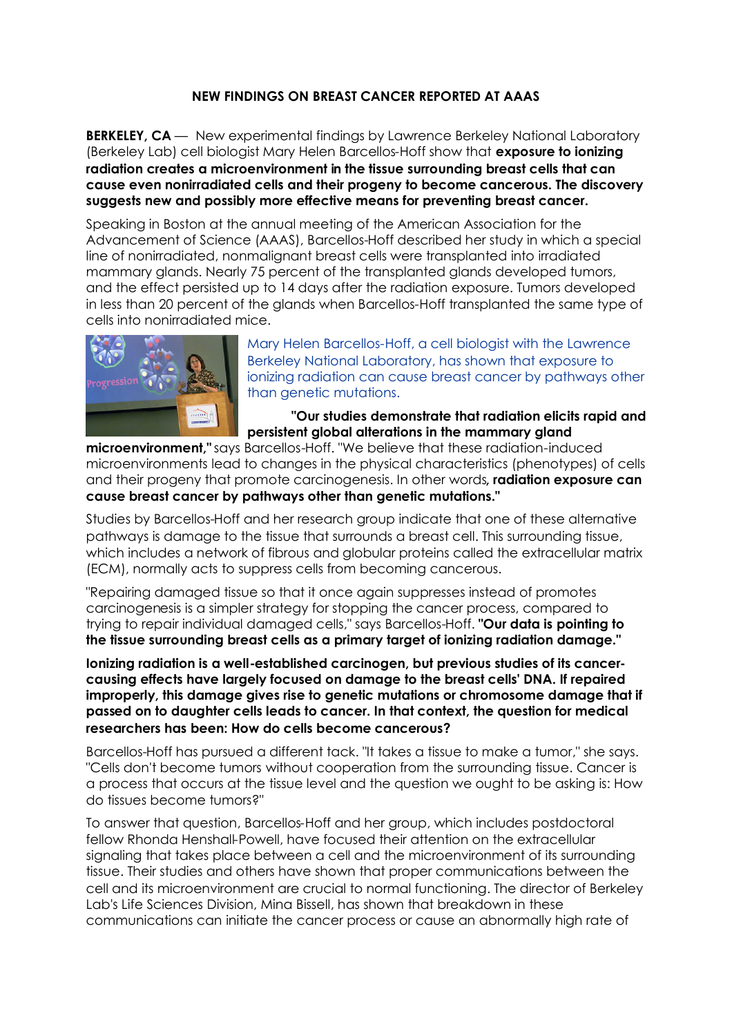## **NEW FINDINGS ON BREAST CANCER REPORTED AT AAAS**

**BERKELEY, CA** — New experimental findings by Lawrence Berkeley National Laboratory (Berkeley Lab) cell biologist Mary Helen Barcellos-Hoff show that **exposure to ionizing radiation creates a microenvironment in the tissue surrounding breast cells that can cause even nonirradiated cells and their progeny to become cancerous. The discovery suggests new and possibly more effective means for preventing breast cancer.**

Speaking in Boston at the annual meeting of the American Association for the Advancement of Science (AAAS), Barcellos-Hoff described her study in which a special line of nonirradiated, nonmalignant breast cells were transplanted into irradiated mammary glands. Nearly 75 percent of the transplanted glands developed tumors, and the effect persisted up to 14 days after the radiation exposure. Tumors developed in less than 20 percent of the glands when Barcellos-Hoff transplanted the same type of cells into nonirradiated mice.



Mary Helen Barcellos-Hoff, a cell biologist with the Lawrence Berkeley National Laboratory, has shown that exposure to ionizing radiation can cause breast cancer by pathways other than genetic mutations.

**"Our studies demonstrate that radiation elicits rapid and persistent global alterations in the mammary gland**

**microenvironment,"** says Barcellos-Hoff. "We believe that these radiation-induced microenvironments lead to changes in the physical characteristics (phenotypes) of cells and their progeny that promote carcinogenesis. In other words**, radiation exposure can cause breast cancer by pathways other than genetic mutations."**

Studies by Barcellos-Hoff and her research group indicate that one of these alternative pathways is damage to the tissue that surrounds a breast cell. This surrounding tissue, which includes a network of fibrous and globular proteins called the extracellular matrix (ECM), normally acts to suppress cells from becoming cancerous.

"Repairing damaged tissue so that it once again suppresses instead of promotes carcinogenesis is a simpler strategy for stopping the cancer process, compared to trying to repair individual damaged cells," says Barcellos-Hoff. **"Our data is pointing to the tissue surrounding breast cells as a primary target of ionizing radiation damage."**

**Ionizing radiation is a well-established carcinogen, but previous studies of its cancercausing effects have largely focused on damage to the breast cells' DNA. If repaired improperly, this damage gives rise to genetic mutations or chromosome damage that if passed on to daughter cells leads to cancer. In that context, the question for medical researchers has been: How do cells become cancerous?**

Barcellos-Hoff has pursued a different tack. "It takes a tissue to make a tumor," she says. "Cells don't become tumors without cooperation from the surrounding tissue. Cancer is a process that occurs at the tissue level and the question we ought to be asking is: How do tissues become tumors?"

To answer that question, Barcellos-Hoff and her group, which includes postdoctoral fellow Rhonda Henshall-Powell, have focused their attention on the extracellular signaling that takes place between a cell and the microenvironment of its surrounding tissue. Their studies and others have shown that proper communications between the cell and its microenvironment are crucial to normal functioning. The director of Berkeley Lab's Life Sciences Division, Mina Bissell, has shown that breakdown in these communications can initiate the cancer process or cause an abnormally high rate of